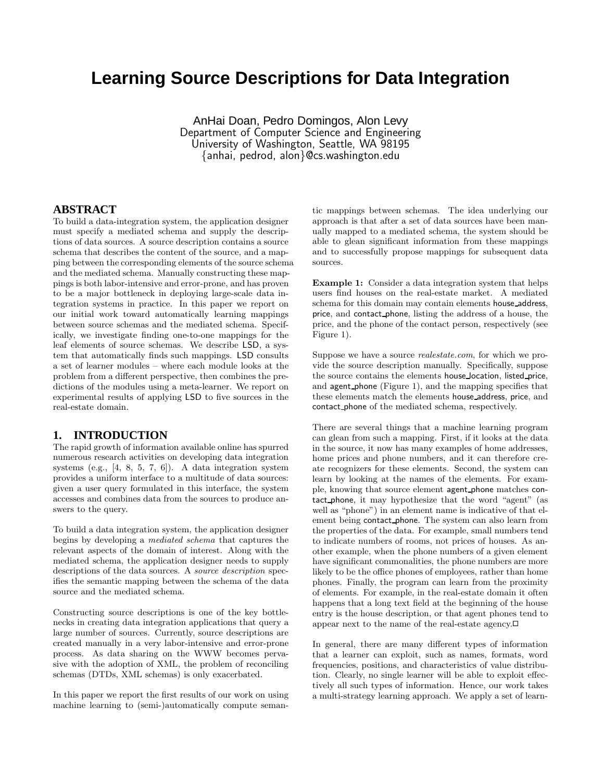# **Learning Source Descriptions for Data Integration**

AnHai Doan, Pedro Domingos, Alon Levy Department of Computer Science and Engineering University of Washington, Seattle, WA 98195 {anhai, pedrod, alon}@cs.washington.edu

## **ABSTRACT**

To build a data-integration system, the application designer must specify a mediated schema and supply the descriptions of data sources. A source description contains a source schema that describes the content of the source, and a mapping between the corresponding elements of the source schema and the mediated schema. Manually constructing these mappings is both labor-intensive and error-prone, and has proven to be a major bottleneck in deploying large-scale data integration systems in practice. In this paper we report on our initial work toward automatically learning mappings between source schemas and the mediated schema. Specifically, we investigate finding one-to-one mappings for the leaf elements of source schemas. We describe LSD, a system that automatically finds such mappings. LSD consults a set of learner modules – where each module looks at the problem from a different perspective, then combines the predictions of the modules using a meta-learner. We report on experimental results of applying LSD to five sources in the real-estate domain.

## **1. INTRODUCTION**

The rapid growth of information available online has spurred numerous research activities on developing data integration systems (e.g., [4, 8, 5, 7, 6]). A data integration system provides a uniform interface to a multitude of data sources: given a user query formulated in this interface, the system accesses and combines data from the sources to produce answers to the query.

To build a data integration system, the application designer begins by developing a mediated schema that captures the relevant aspects of the domain of interest. Along with the mediated schema, the application designer needs to supply descriptions of the data sources. A *source description* specifies the semantic mapping between the schema of the data source and the mediated schema.

Constructing source descriptions is one of the key bottlenecks in creating data integration applications that query a large number of sources. Currently, source descriptions are created manually in a very labor-intensive and error-prone process. As data sharing on the WWW becomes pervasive with the adoption of XML, the problem of reconciling schemas (DTDs, XML schemas) is only exacerbated.

In this paper we report the first results of our work on using machine learning to (semi-)automatically compute semantic mappings between schemas. The idea underlying our approach is that after a set of data sources have been manually mapped to a mediated schema, the system should be able to glean significant information from these mappings and to successfully propose mappings for subsequent data sources.

Example 1: Consider a data integration system that helps users find houses on the real-estate market. A mediated schema for this domain may contain elements house address, price, and contact phone, listing the address of a house, the price, and the phone of the contact person, respectively (see Figure 1).

Suppose we have a source realestate.com, for which we provide the source description manually. Specifically, suppose the source contains the elements house location, listed price, and agent phone (Figure 1), and the mapping specifies that these elements match the elements house address, price, and contact phone of the mediated schema, respectively.

There are several things that a machine learning program can glean from such a mapping. First, if it looks at the data in the source, it now has many examples of home addresses, home prices and phone numbers, and it can therefore create recognizers for these elements. Second, the system can learn by looking at the names of the elements. For example, knowing that source element agent phone matches contact phone, it may hypothesize that the word "agent" (as well as "phone") in an element name is indicative of that element being contact phone. The system can also learn from the properties of the data. For example, small numbers tend to indicate numbers of rooms, not prices of houses. As another example, when the phone numbers of a given element have significant commonalities, the phone numbers are more likely to be the office phones of employees, rather than home phones. Finally, the program can learn from the proximity of elements. For example, in the real-estate domain it often happens that a long text field at the beginning of the house entry is the house description, or that agent phones tend to appear next to the name of the real-estate agency.

In general, there are many different types of information that a learner can exploit, such as names, formats, word frequencies, positions, and characteristics of value distribution. Clearly, no single learner will be able to exploit effectively all such types of information. Hence, our work takes a multi-strategy learning approach. We apply a set of learn-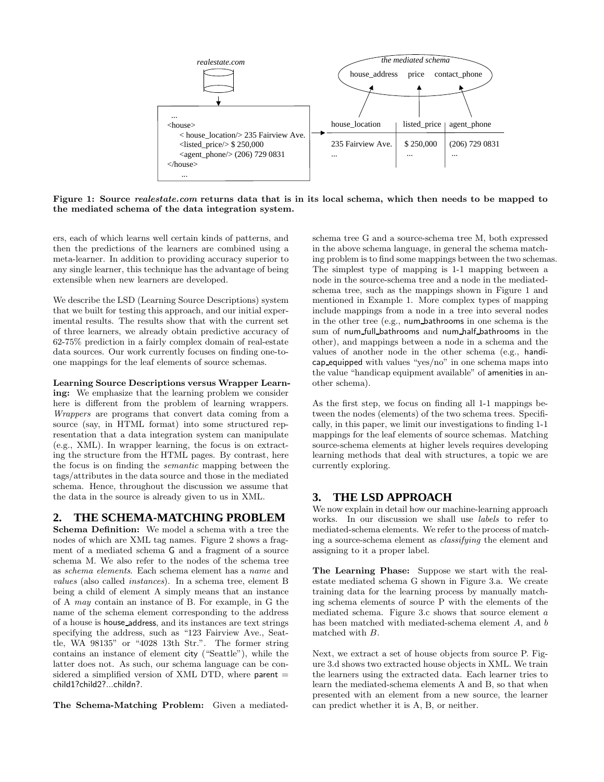

Figure 1: Source *realestate.com* returns data that is in its local schema, which then needs to be mapped to the mediated schema of the data integration system.

ers, each of which learns well certain kinds of patterns, and then the predictions of the learners are combined using a meta-learner. In addition to providing accuracy superior to any single learner, this technique has the advantage of being extensible when new learners are developed.

We describe the LSD (Learning Source Descriptions) system that we built for testing this approach, and our initial experimental results. The results show that with the current set of three learners, we already obtain predictive accuracy of 62-75% prediction in a fairly complex domain of real-estate data sources. Our work currently focuses on finding one-toone mappings for the leaf elements of source schemas.

Learning Source Descriptions versus Wrapper Learn-

ing: We emphasize that the learning problem we consider here is different from the problem of learning wrappers. Wrappers are programs that convert data coming from a source (say, in HTML format) into some structured representation that a data integration system can manipulate (e.g., XML). In wrapper learning, the focus is on extracting the structure from the HTML pages. By contrast, here the focus is on finding the semantic mapping between the tags/attributes in the data source and those in the mediated schema. Hence, throughout the discussion we assume that the data in the source is already given to us in XML.

## **2. THE SCHEMA-MATCHING PROBLEM**

Schema Definition: We model a schema with a tree the nodes of which are XML tag names. Figure 2 shows a fragment of a mediated schema G and a fragment of a source schema M. We also refer to the nodes of the schema tree as schema elements. Each schema element has a name and values (also called instances). In a schema tree, element B being a child of element A simply means that an instance of A may contain an instance of B. For example, in G the name of the schema element corresponding to the address of a house is house address, and its instances are text strings specifying the address, such as "123 Fairview Ave., Seattle, WA 98135" or "4028 13th Str.". The former string contains an instance of element city ("Seattle"), while the latter does not. As such, our schema language can be considered a simplified version of XML DTD, where  $parent =$ child1?child2?...childn?.

The Schema-Matching Problem: Given a mediated-

schema tree G and a source-schema tree M, both expressed in the above schema language, in general the schema matching problem is to find some mappings between the two schemas. The simplest type of mapping is 1-1 mapping between a node in the source-schema tree and a node in the mediatedschema tree, such as the mappings shown in Figure 1 and mentioned in Example 1. More complex types of mapping include mappings from a node in a tree into several nodes in the other tree (e.g., num bathrooms in one schema is the sum of num full bathrooms and num half bathrooms in the other), and mappings between a node in a schema and the values of another node in the other schema (e.g., handicap equipped with values "yes/no" in one schema maps into the value "handicap equipment available" of amenities in another schema).

As the first step, we focus on finding all 1-1 mappings between the nodes (elements) of the two schema trees. Specifically, in this paper, we limit our investigations to finding 1-1 mappings for the leaf elements of source schemas. Matching source-schema elements at higher levels requires developing learning methods that deal with structures, a topic we are currently exploring.

#### **3. THE LSD APPROACH**

We now explain in detail how our machine-learning approach works. In our discussion we shall use labels to refer to mediated-schema elements. We refer to the process of matching a source-schema element as classifying the element and assigning to it a proper label.

The Learning Phase: Suppose we start with the realestate mediated schema G shown in Figure 3.a. We create training data for the learning process by manually matching schema elements of source P with the elements of the mediated schema. Figure 3.c shows that source element a has been matched with mediated-schema element A, and b matched with B.

Next, we extract a set of house objects from source P. Figure 3.d shows two extracted house objects in XML. We train the learners using the extracted data. Each learner tries to learn the mediated-schema elements A and B, so that when presented with an element from a new source, the learner can predict whether it is A, B, or neither.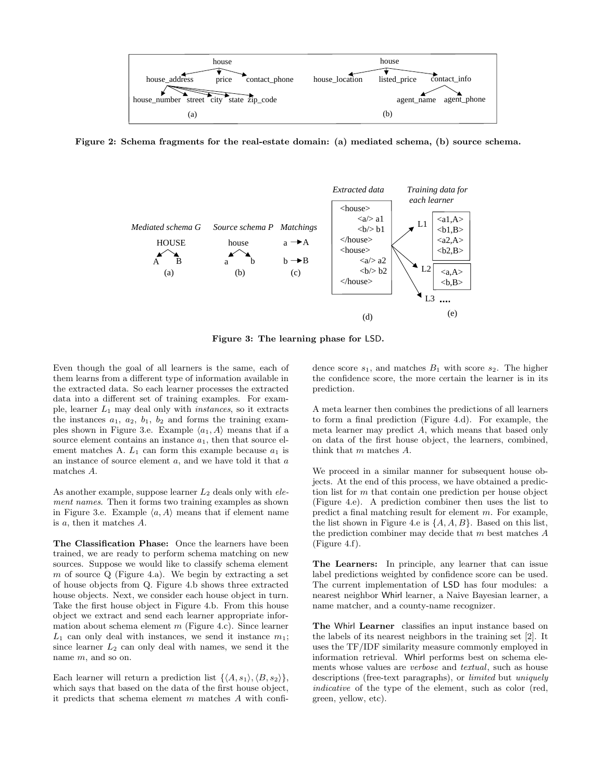

Figure 2: Schema fragments for the real-estate domain: (a) mediated schema, (b) source schema.



Figure 3: The learning phase for LSD.

Even though the goal of all learners is the same, each of them learns from a different type of information available in the extracted data. So each learner processes the extracted data into a different set of training examples. For example, learner  $L_1$  may deal only with *instances*, so it extracts the instances  $a_1$ ,  $a_2$ ,  $b_1$ ,  $b_2$  and forms the training examples shown in Figure 3.e. Example  $\langle a_1, A \rangle$  means that if a source element contains an instance  $a_1$ , then that source element matches A.  $L_1$  can form this example because  $a_1$  is an instance of source element  $a$ , and we have told it that  $a$ matches A.

As another example, suppose learner  $L_2$  deals only with  $ele$ ment names. Then it forms two training examples as shown in Figure 3.e. Example  $\langle a, A \rangle$  means that if element name is a, then it matches A.

The Classification Phase: Once the learners have been trained, we are ready to perform schema matching on new sources. Suppose we would like to classify schema element m of source  $Q$  (Figure 4.a). We begin by extracting a set of house objects from Q. Figure 4.b shows three extracted house objects. Next, we consider each house object in turn. Take the first house object in Figure 4.b. From this house object we extract and send each learner appropriate information about schema element  $m$  (Figure 4.c). Since learner  $L_1$  can only deal with instances, we send it instance  $m_1$ ; since learner  $L_2$  can only deal with names, we send it the name m, and so on.

Each learner will return a prediction list  $\{\langle A, s_1 \rangle, \langle B, s_2 \rangle\},\$ which says that based on the data of the first house object, it predicts that schema element m matches A with confidence score  $s_1$ , and matches  $B_1$  with score  $s_2$ . The higher the confidence score, the more certain the learner is in its prediction.

A meta learner then combines the predictions of all learners to form a final prediction (Figure 4.d). For example, the meta learner may predict A, which means that based only on data of the first house object, the learners, combined, think that m matches A.

We proceed in a similar manner for subsequent house objects. At the end of this process, we have obtained a prediction list for m that contain one prediction per house object (Figure 4.e). A prediction combiner then uses the list to predict a final matching result for element m. For example, the list shown in Figure 4.e is  $\{A, A, B\}$ . Based on this list, the prediction combiner may decide that  $m$  best matches  $A$ (Figure 4.f).

The Learners: In principle, any learner that can issue label predictions weighted by confidence score can be used. The current implementation of LSD has four modules: a nearest neighbor Whirl learner, a Naive Bayesian learner, a name matcher, and a county-name recognizer.

The Whirl Learner classifies an input instance based on the labels of its nearest neighbors in the training set [2]. It uses the TF/IDF similarity measure commonly employed in information retrieval. Whirl performs best on schema elements whose values are verbose and textual, such as house descriptions (free-text paragraphs), or limited but uniquely indicative of the type of the element, such as color (red, green, yellow, etc).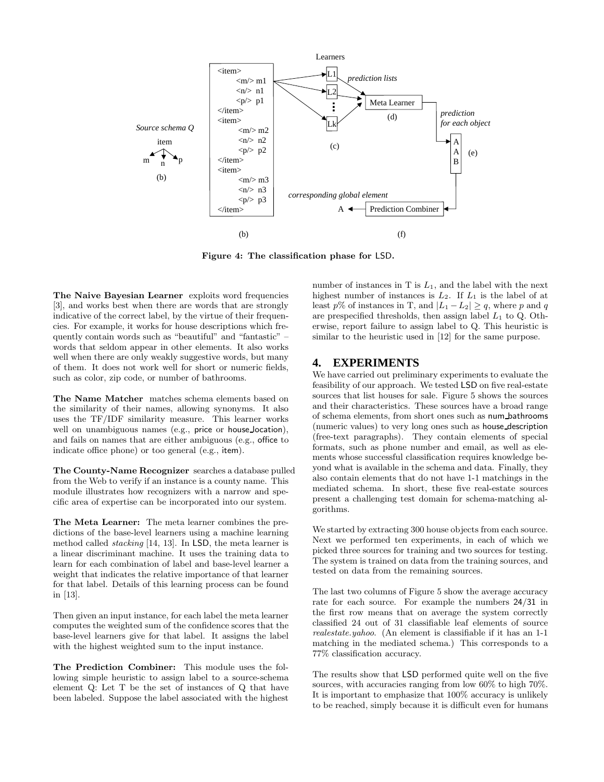

Figure 4: The classification phase for LSD.

The Naive Bayesian Learner exploits word frequencies [3], and works best when there are words that are strongly indicative of the correct label, by the virtue of their frequencies. For example, it works for house descriptions which frequently contain words such as "beautiful" and "fantastic" – words that seldom appear in other elements. It also works well when there are only weakly suggestive words, but many of them. It does not work well for short or numeric fields, such as color, zip code, or number of bathrooms.

The Name Matcher matches schema elements based on the similarity of their names, allowing synonyms. It also uses the TF/IDF similarity measure. This learner works well on unambiguous names (e.g., price or house location), and fails on names that are either ambiguous (e.g., office to indicate office phone) or too general (e.g., item).

The County-Name Recognizer searches a database pulled from the Web to verify if an instance is a county name. This module illustrates how recognizers with a narrow and specific area of expertise can be incorporated into our system.

The Meta Learner: The meta learner combines the predictions of the base-level learners using a machine learning method called stacking [14, 13]. In LSD, the meta learner is a linear discriminant machine. It uses the training data to learn for each combination of label and base-level learner a weight that indicates the relative importance of that learner for that label. Details of this learning process can be found in [13].

Then given an input instance, for each label the meta learner computes the weighted sum of the confidence scores that the base-level learners give for that label. It assigns the label with the highest weighted sum to the input instance.

The Prediction Combiner: This module uses the following simple heuristic to assign label to a source-schema element Q: Let T be the set of instances of Q that have been labeled. Suppose the label associated with the highest number of instances in  $T$  is  $L_1$ , and the label with the next highest number of instances is  $L_2$ . If  $L_1$  is the label of at least p% of instances in T, and  $|L_1 - L_2| \ge q$ , where p and q are prespecified thresholds, then assign label  $L_1$  to Q. Otherwise, report failure to assign label to Q. This heuristic is similar to the heuristic used in [12] for the same purpose.

## **4. EXPERIMENTS**

We have carried out preliminary experiments to evaluate the feasibility of our approach. We tested LSD on five real-estate sources that list houses for sale. Figure 5 shows the sources and their characteristics. These sources have a broad range of schema elements, from short ones such as num bathrooms (numeric values) to very long ones such as house description (free-text paragraphs). They contain elements of special formats, such as phone number and email, as well as elements whose successful classification requires knowledge beyond what is available in the schema and data. Finally, they also contain elements that do not have 1-1 matchings in the mediated schema. In short, these five real-estate sources present a challenging test domain for schema-matching algorithms.

We started by extracting 300 house objects from each source. Next we performed ten experiments, in each of which we picked three sources for training and two sources for testing. The system is trained on data from the training sources, and tested on data from the remaining sources.

The last two columns of Figure 5 show the average accuracy rate for each source. For example the numbers 24/31 in the first row means that on average the system correctly classified 24 out of 31 classifiable leaf elements of source realestate.yahoo. (An element is classifiable if it has an 1-1 matching in the mediated schema.) This corresponds to a 77% classification accuracy.

The results show that LSD performed quite well on the five sources, with accuracies ranging from low 60% to high 70%. It is important to emphasize that 100% accuracy is unlikely to be reached, simply because it is difficult even for humans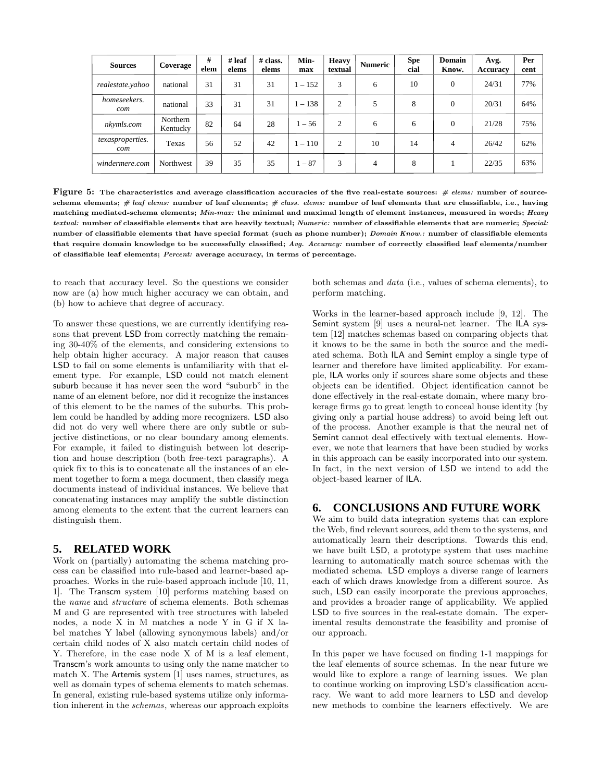| <b>Sources</b>          | Coverage             | #<br>elem | $#$ leaf<br>elems | $#$ class.<br>elems | Min-<br>max | <b>Heavy</b><br>textual | <b>Numeric</b> | <b>Spe</b><br>cial | Domain<br>Know. | Avg.<br>Accuracy | Per<br>cent |
|-------------------------|----------------------|-----------|-------------------|---------------------|-------------|-------------------------|----------------|--------------------|-----------------|------------------|-------------|
| realestate.yahoo        | national             | 31        | 31                | 31                  | $1 - 152$   | 3                       | 6              | 10                 | $\mathbf{0}$    | 24/31            | 77%         |
| homeseekers.<br>com     | national             | 33        | 31                | 31                  | $1 - 138$   | 2                       | 5              | 8                  | $\mathbf{0}$    | 20/31            | 64%         |
| nkymls.com              | Northern<br>Kentucky | 82        | 64                | 28                  | $1 - 56$    | 2                       | 6              | 6                  | $\mathbf{0}$    | 21/28            | 75%         |
| texasproperties.<br>com | Texas                | 56        | 52                | 42                  | $1 - 110$   | 2                       | 10             | 14                 | 4               | 26/42            | 62%         |
| windermere.com          | Northwest            | 39        | 35                | 35                  | $1 - 87$    | 3                       | $\overline{4}$ | 8                  |                 | 22/35            | 63%         |

Figure 5: The characteristics and average classification accuracies of the five real-estate sources:  $\#$  elems: number of sourceschema elements;  $#$  leaf elems: number of leaf elements;  $#$  class. elems: number of leaf elements that are classifiable, i.e., having matching mediated-schema elements; Min-max: the minimal and maximal length of element instances, measured in words; Heavy textual: number of classifiable elements that are heavily textual; Numeric: number of classifiable elements that are numeric; Special: number of classifiable elements that have special format (such as phone number); Domain Know.: number of classifiable elements that require domain knowledge to be successfully classified; Avg. Accuracy: number of correctly classified leaf elements/number of classifiable leaf elements; Percent: average accuracy, in terms of percentage.

to reach that accuracy level. So the questions we consider now are (a) how much higher accuracy we can obtain, and (b) how to achieve that degree of accuracy.

To answer these questions, we are currently identifying reasons that prevent LSD from correctly matching the remaining 30-40% of the elements, and considering extensions to help obtain higher accuracy. A major reason that causes LSD to fail on some elements is unfamiliarity with that element type. For example, LSD could not match element suburb because it has never seen the word "suburb" in the name of an element before, nor did it recognize the instances of this element to be the names of the suburbs. This problem could be handled by adding more recognizers. LSD also did not do very well where there are only subtle or subjective distinctions, or no clear boundary among elements. For example, it failed to distinguish between lot description and house description (both free-text paragraphs). A quick fix to this is to concatenate all the instances of an element together to form a mega document, then classify mega documents instead of individual instances. We believe that concatenating instances may amplify the subtle distinction among elements to the extent that the current learners can distinguish them.

## **5. RELATED WORK**

Work on (partially) automating the schema matching process can be classified into rule-based and learner-based approaches. Works in the rule-based approach include [10, 11, 1]. The Transcm system [10] performs matching based on the name and structure of schema elements. Both schemas M and G are represented with tree structures with labeled nodes, a node X in M matches a node Y in G if X label matches Y label (allowing synonymous labels) and/or certain child nodes of X also match certain child nodes of Y. Therefore, in the case node X of M is a leaf element, Transcm's work amounts to using only the name matcher to match X. The Artemis system [1] uses names, structures, as well as domain types of schema elements to match schemas. In general, existing rule-based systems utilize only information inherent in the schemas, whereas our approach exploits both schemas and data (i.e., values of schema elements), to perform matching.

Works in the learner-based approach include [9, 12]. The Semint system [9] uses a neural-net learner. The ILA system [12] matches schemas based on comparing objects that it knows to be the same in both the source and the mediated schema. Both ILA and Semint employ a single type of learner and therefore have limited applicability. For example, ILA works only if sources share some objects and these objects can be identified. Object identification cannot be done effectively in the real-estate domain, where many brokerage firms go to great length to conceal house identity (by giving only a partial house address) to avoid being left out of the process. Another example is that the neural net of Semint cannot deal effectively with textual elements. However, we note that learners that have been studied by works in this approach can be easily incorporated into our system. In fact, in the next version of LSD we intend to add the object-based learner of ILA.

## **6. CONCLUSIONS AND FUTURE WORK**

We aim to build data integration systems that can explore the Web, find relevant sources, add them to the systems, and automatically learn their descriptions. Towards this end, we have built LSD, a prototype system that uses machine learning to automatically match source schemas with the mediated schema. LSD employs a diverse range of learners each of which draws knowledge from a different source. As such, LSD can easily incorporate the previous approaches, and provides a broader range of applicability. We applied LSD to five sources in the real-estate domain. The experimental results demonstrate the feasibility and promise of our approach.

In this paper we have focused on finding 1-1 mappings for the leaf elements of source schemas. In the near future we would like to explore a range of learning issues. We plan to continue working on improving LSD's classification accuracy. We want to add more learners to LSD and develop new methods to combine the learners effectively. We are